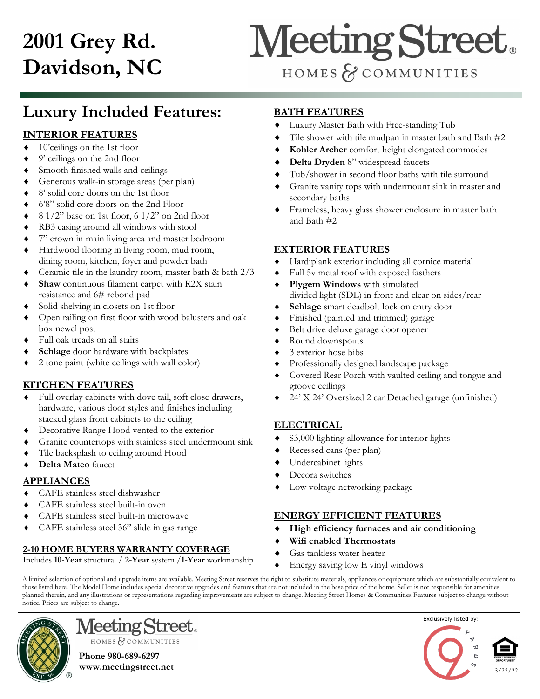## **2001 Grey Rd. Davidson, NC**

# **Meeting Street**

HOMES & COMMUNITIES

## **Luxury Included Features:**

#### **INTERIOR FEATURES**

- ◆ 10'ceilings on the 1st floor
- 9' ceilings on the 2nd floor
- Smooth finished walls and ceilings
- Generous walk-in storage areas (per plan)
- 8' solid core doors on the 1st floor
- 6'8" solid core doors on the 2nd Floor
- $\bullet$  8 1/2" base on 1st floor, 6 1/2" on 2nd floor
- RB3 casing around all windows with stool
- 7" crown in main living area and master bedroom
- Hardwood flooring in living room, mud room, dining room, kitchen, foyer and powder bath
- Ceramic tile in the laundry room, master bath & bath 2/3
- **Shaw** continuous filament carpet with R2X stain resistance and 6# rebond pad
- Solid shelving in closets on 1st floor
- Open railing on first floor with wood balusters and oak box newel post
- Full oak treads on all stairs
- **Schlage** door hardware with backplates
- 2 tone paint (white ceilings with wall color)

#### **KITCHEN FEATURES**

- Full overlay cabinets with dove tail, soft close drawers, hardware, various door styles and finishes including stacked glass front cabinets to the ceiling
- Decorative Range Hood vented to the exterior
- Granite countertops with stainless steel undermount sink
- Tile backsplash to ceiling around Hood
- **Delta Mateo** faucet

#### **APPLIANCES**

- CAFE stainless steel dishwasher
- CAFE stainless steel built-in oven
- CAFE stainless steel built-in microwave
- CAFE stainless steel 36" slide in gas range

#### **2-10 HOME BUYERS WARRANTY COVERAGE**

Includes **10-Year** structural / **2-Year** system /**1-Year** workmanship

#### **BATH FEATURES**

- Luxury Master Bath with Free-standing Tub
- Tile shower with tile mudpan in master bath and Bath #2
- **Kohler Archer** comfort height elongated commodes
- **Delta Dryden** 8" widespread faucets
- Tub/shower in second floor baths with tile surround
- Granite vanity tops with undermount sink in master and secondary baths
- Frameless, heavy glass shower enclosure in master bath and Bath #2

#### **EXTERIOR FEATURES**

- Hardiplank exterior including all cornice material
- Full 5v metal roof with exposed fasthers
- **Plygem Windows** with simulated divided light (SDL) in front and clear on sides/rear
- **Schlage** smart deadbolt lock on entry door
- Finished (painted and trimmed) garage
- Belt drive deluxe garage door opener
- Round downspouts
- 3 exterior hose bibs
- Professionally designed landscape package
- Covered Rear Porch with vaulted ceiling and tongue and groove ceilings
- 24' X 24' Oversized 2 car Detached garage (unfinished)

#### **ELECTRICAL**

- \$3,000 lighting allowance for interior lights
- Recessed cans (per plan)
- Undercabinet lights
- Decora switches
- Low voltage networking package

#### **ENERGY EFFICIENT FEATURES**

- **High efficiency furnaces and air conditioning**
- **Wifi enabled Thermostats**
- Gas tankless water heater
- Energy saving low E vinyl windows

A limited selection of optional and upgrade items are available. Meeting Street reserves the right to substitute materials, appliances or equipment which are substantially equivalent to those listed here. The Model Home includes special decorative upgrades and features that are not included in the base price of the home. Seller is not responsible for amenities planned therein, and any illustrations or representations regarding improvements are subject to change. Meeting Street Homes & Communities Features subject to change without notice. Prices are subject to change.



HOMES & COMMUNITIES **Phone 980-689-6297 www.meetingstreet.net**

**Meeting Street**.

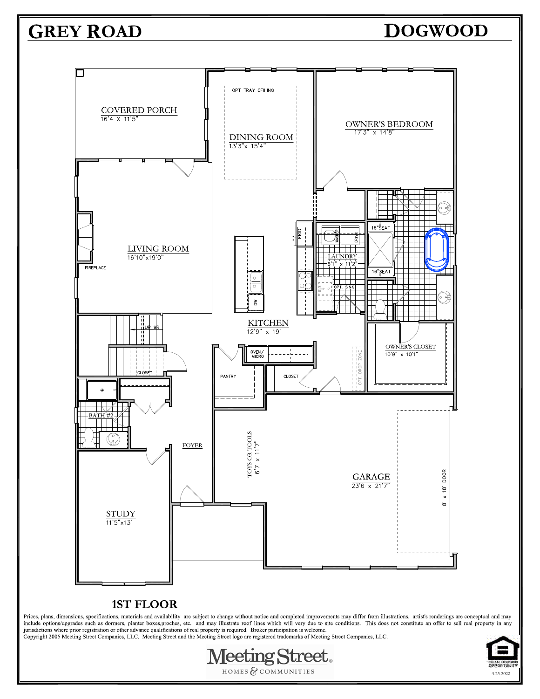## **GREY ROAD**

### **DOGWOOD**



#### **1ST FLOOR**

Prices, plans, dimensions, specifications, materials and availability are subject to change without notice and completed improvements may differ from illustrations. artist's renderings are conceptual and may include option